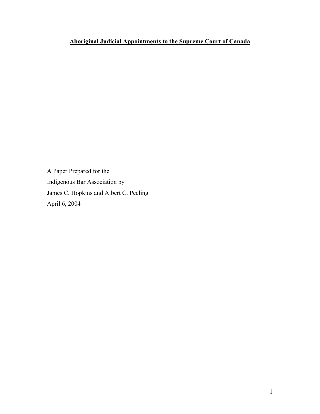# **Aboriginal Judicial Appointments to the Supreme Court of Canada**

A Paper Prepared for the Indigenous Bar Association by James C. Hopkins and Albert C. Peeling April 6, 2004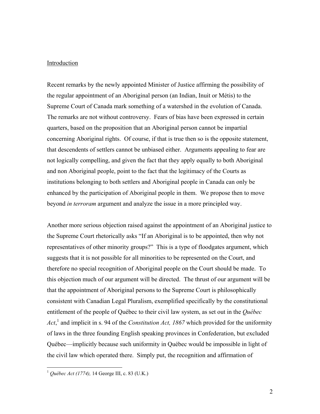#### Introduction

Recent remarks by the newly appointed Minister of Justice affirming the possibility of the regular appointment of an Aboriginal person (an Indian, Inuit or Métis) to the Supreme Court of Canada mark something of a watershed in the evolution of Canada. The remarks are not without controversy. Fears of bias have been expressed in certain quarters, based on the proposition that an Aboriginal person cannot be impartial concerning Aboriginal rights. Of course, if that is true then so is the opposite statement, that descendents of settlers cannot be unbiased either. Arguments appealing to fear are not logically compelling, and given the fact that they apply equally to both Aboriginal and non Aboriginal people, point to the fact that the legitimacy of the Courts as institutions belonging to both settlers and Aboriginal people in Canada can only be enhanced by the participation of Aboriginal people in them. We propose then to move beyond *in terroram* argument and analyze the issue in a more principled way.

Another more serious objection raised against the appointment of an Aboriginal justice to the Supreme Court rhetorically asks "If an Aboriginal is to be appointed, then why not representatives of other minority groups?" This is a type of floodgates argument, which suggests that it is not possible for all minorities to be represented on the Court, and therefore no special recognition of Aboriginal people on the Court should be made. To this objection much of our argument will be directed. The thrust of our argument will be that the appointment of Aboriginal persons to the Supreme Court is philosophically consistent with Canadian Legal Pluralism, exemplified specifically by the constitutional entitlement of the people of Québec to their civil law system, as set out in the *Québec*  Act,<sup>1</sup> and implicit in s. 94 of the *Constitution Act, 1867* which provided for the uniformity of laws in the three founding English speaking provinces in Confederation, but excluded Québec—implicitly because such uniformity in Québec would be impossible in light of the civil law which operated there. Simply put, the recognition and affirmation of

<sup>1</sup> *Québec Act (1774),* 14 George III, c. 83 (U.K.)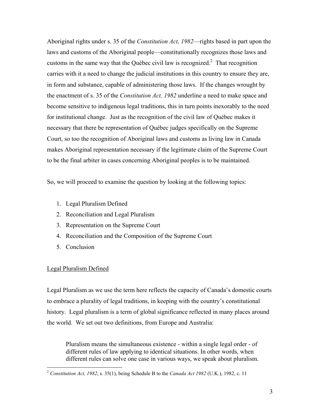Aboriginal rights under s. 35 of the *Constitution Act, 1982*—rights based in part upon the laws and customs of the Aboriginal people—constitutionally recognizes those laws and customs in the same way that the Québec civil law is recognized.<sup>2</sup> That recognition carries with it a need to change the judicial institutions in this country to ensure they are, in form and substance, capable of administering those laws. If the changes wrought by the enactment of s. 35 of the *Constitution Act, 1982* underline a need to make space and become sensitive to indigenous legal traditions, this in turn points inexorably to the need for institutional change. Just as the recognition of the civil law of Québec makes it necessary that there be representation of Québec judges specifically on the Supreme Court, so too the recognition of Aboriginal laws and customs as living law in Canada makes Aboriginal representation necessary if the legitimate claim of the Supreme Court to be the final arbiter in cases concerning Aboriginal peoples is to be maintained.

So, we will proceed to examine the question by looking at the following topics:

- 1. Legal Pluralism Defined
- 2. Reconciliation and Legal Pluralism
- 3. Representation on the Supreme Court
- 4. Reconciliation and the Composition of the Supreme Court
- 5. Conclusion

## Legal Pluralism Defined

<u>.</u>

Legal Pluralism as we use the term here reflects the capacity of Canada's domestic courts to embrace a plurality of legal traditions, in keeping with the country's constitutional history. Legal pluralism is a term of global significance reflected in many places around the world. We set out two definitions, from Europe and Australia:

Pluralism means the simultaneous existence - within a single legal order - of different rules of law applying to identical situations. In other words, when different rules can solve one case in various ways, we speak about pluralism.

<sup>2</sup> *Constitution Act, 1982*, s. 35(1), being Schedule B to the *Canada Act 1982* (U.K.), 1982, c. 11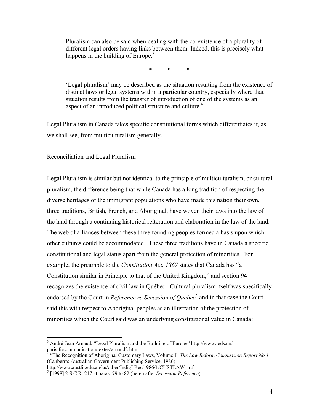Pluralism can also be said when dealing with the co-existence of a plurality of different legal orders having links between them. Indeed, this is precisely what happens in the building of Europe.<sup>3</sup>

\* \* \*

'Legal pluralism' may be described as the situation resulting from the existence of distinct laws or legal systems within a particular country, especially where that situation results from the transfer of introduction of one of the systems as an aspect of an introduced political structure and culture.<sup>4</sup>

Legal Pluralism in Canada takes specific constitutional forms which differentiates it, as we shall see, from multiculturalism generally.

#### Reconciliation and Legal Pluralism

 $\overline{a}$ 

Legal Pluralism is similar but not identical to the principle of multiculturalism, or cultural pluralism, the difference being that while Canada has a long tradition of respecting the diverse heritages of the immigrant populations who have made this nation their own, three traditions, British, French, and Aboriginal, have woven their laws into the law of the land through a continuing historical reiteration and elaboration in the law of the land. The web of alliances between these three founding peoples formed a basis upon which other cultures could be accommodated. These three traditions have in Canada a specific constitutional and legal status apart from the general protection of minorities. For example, the preamble to the *Constitution Act, 1867* states that Canada has "a Constitution similar in Principle to that of the United Kingdom," and section 94 recognizes the existence of civil law in Québec. Cultural pluralism itself was specifically endorsed by the Court in *Reference re Secession of Québec*<sup>5</sup> and in that case the Court said this with respect to Aboriginal peoples as an illustration of the protection of minorities which the Court said was an underlying constitutional value in Canada:

<sup>&</sup>lt;sup>3</sup> André-Jean Arnaud, "Legal Pluralism and the Building of Europe" http://www.reds.mshparis.fr/communication/textes/arnaud2.htm<br><sup>4</sup> "The Pecesnition of Aboriginal Customer

 <sup>&</sup>quot;The Recognition of Aboriginal Customary Laws, Volume I" *The Law Reform Commission Report No 1*  (Canberra: Australian Government Publishing Service, 1986)

http://www.austlii.edu.au/au/other/IndigLRes/1986/1/CUSTLAW1.rtf 5

 <sup>[1998] 2</sup> S.C.R. 217 at paras. 79 to 82 (hereinafter *Secession Reference*).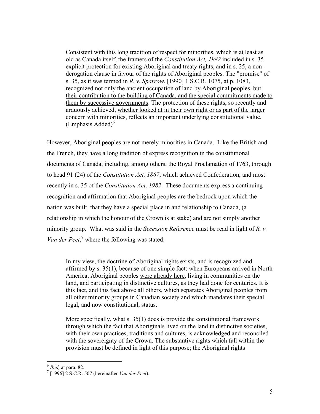Consistent with this long tradition of respect for minorities, which is at least as old as Canada itself, the framers of the *Constitution Act, 1982* included in s. 35 explicit protection for existing Aboriginal and treaty rights, and in s. 25, a nonderogation clause in favour of the rights of Aboriginal peoples. The "promise" of s. 35, as it was termed in *R. v. Sparrow*, [1990] 1 S.C.R. 1075, at p. 1083, recognized not only the ancient occupation of land by Aboriginal peoples, but their contribution to the building of Canada, and the special commitments made to them by successive governments. The protection of these rights, so recently and arduously achieved, whether looked at in their own right or as part of the larger concern with minorities, reflects an important underlying constitutional value.  $(Emphasis added)^6$ 

However, Aboriginal peoples are not merely minorities in Canada. Like the British and the French, they have a long tradition of express recognition in the constitutional documents of Canada, including, among others, the Royal Proclamation of 1763, through to head 91 (24) of the *Constitution Act, 1867*, which achieved Confederation, and most recently in s. 35 of the *Constitution Act, 1982*. These documents express a continuing recognition and affirmation that Aboriginal peoples are the bedrock upon which the nation was built, that they have a special place in and relationship to Canada, (a relationship in which the honour of the Crown is at stake) and are not simply another minority group. What was said in the *Secession Reference* must be read in light of *R. v.*  Van der Peet,<sup>7</sup> where the following was stated:

In my view, the doctrine of Aboriginal rights exists, and is recognized and affirmed by s. 35(1), because of one simple fact: when Europeans arrived in North America, Aboriginal peoples were already here, living in communities on the land, and participating in distinctive cultures, as they had done for centuries. It is this fact, and this fact above all others, which separates Aboriginal peoples from all other minority groups in Canadian society and which mandates their special legal, and now constitutional, status.

More specifically, what s. 35(1) does is provide the constitutional framework through which the fact that Aboriginals lived on the land in distinctive societies, with their own practices, traditions and cultures, is acknowledged and reconciled with the sovereignty of the Crown. The substantive rights which fall within the provision must be defined in light of this purpose; the Aboriginal rights

 $<sup>6</sup>$  *Ibid*, at para. 82.</sup>

 $^7$ [1996] 2 S.C.R. 507 (hereinafter *Van der Peet*).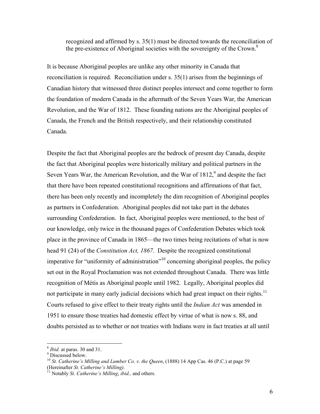recognized and affirmed by s. 35(1) must be directed towards the reconciliation of the pre-existence of Aboriginal societies with the sovereignty of the Crown.<sup>8</sup>

It is because Aboriginal peoples are unlike any other minority in Canada that reconciliation is required. Reconciliation under s. 35(1) arises from the beginnings of Canadian history that witnessed three distinct peoples intersect and come together to form the foundation of modern Canada in the aftermath of the Seven Years War, the American Revolution, and the War of 1812. These founding nations are the Aboriginal peoples of Canada, the French and the British respectively, and their relationship constituted Canada.

Despite the fact that Aboriginal peoples are the bedrock of present day Canada, despite the fact that Aboriginal peoples were historically military and political partners in the Seven Years War, the American Revolution, and the War of  $1812<sup>9</sup>$  and despite the fact that there have been repeated constitutional recognitions and affirmations of that fact, there has been only recently and incompletely the dim recognition of Aboriginal peoples as partners in Confederation. Aboriginal peoples did not take part in the debates surrounding Confederation. In fact, Aboriginal peoples were mentioned, to the best of our knowledge, only twice in the thousand pages of Confederation Debates which took place in the province of Canada in 1865—the two times being recitations of what is now head 91 (24) of the *Constitution Act, 1867*. Despite the recognized constitutional imperative for "uniformity of administration"<sup>10</sup> concerning aboriginal peoples, the policy set out in the Royal Proclamation was not extended throughout Canada. There was little recognition of Métis as Aboriginal people until 1982. Legally, Aboriginal peoples did not participate in many early judicial decisions which had great impact on their rights.<sup>11</sup> Courts refused to give effect to their treaty rights until the *Indian Act* was amended in 1951 to ensure those treaties had domestic effect by virtue of what is now s. 88, and doubts persisted as to whether or not treaties with Indians were in fact treaties at all until

1

<sup>&</sup>lt;sup>8</sup> *Ibid.* at paras. 30 and 31.

<sup>&</sup>lt;sup>9</sup> Discussed below.

<sup>&</sup>lt;sup>10</sup> *St. Catherine's Milling and Lumber Co. v. the Queen*, (1888) 14 App Cas. 46 (P.C.) at page 59 (Hereinafter *St. Catherine's Milling)*. 11 Notably *St. Catherine's Milling*, *ibid.,* and others.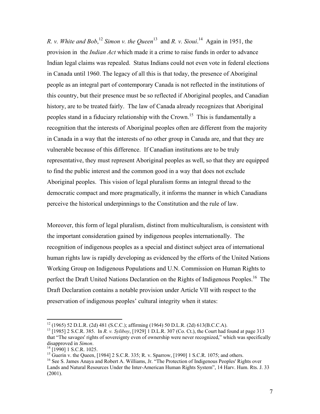*R. v. White and Bob*,<sup>12</sup> *Simon v. the Queen*<sup>13</sup> and *R. v. Sioui*.<sup>14</sup> Again in 1951, the provision in the *Indian Act* which made it a crime to raise funds in order to advance Indian legal claims was repealed. Status Indians could not even vote in federal elections in Canada until 1960. The legacy of all this is that today, the presence of Aboriginal people as an integral part of contemporary Canada is not reflected in the institutions of this country, but their presence must be so reflected if Aboriginal peoples, and Canadian history, are to be treated fairly. The law of Canada already recognizes that Aboriginal peoples stand in a fiduciary relationship with the Crown.<sup>15</sup> This is fundamentally a recognition that the interests of Aboriginal peoples often are different from the majority in Canada in a way that the interests of no other group in Canada are, and that they are vulnerable because of this difference. If Canadian institutions are to be truly representative, they must represent Aboriginal peoples as well, so that they are equipped to find the public interest and the common good in a way that does not exclude Aboriginal peoples. This vision of legal pluralism forms an integral thread to the democratic compact and more pragmatically, it informs the manner in which Canadians perceive the historical underpinnings to the Constitution and the rule of law.

Moreover, this form of legal pluralism, distinct from multiculturalism, is consistent with the important consideration gained by indigenous peoples internationally. The recognition of indigenous peoples as a special and distinct subject area of international human rights law is rapidly developing as evidenced by the efforts of the United Nations Working Group on Indigenous Populations and U.N. Commission on Human Rights to perfect the Draft United Nations Declaration on the Rights of Indigenous Peoples.<sup>16</sup> The Draft Declaration contains a notable provision under Article VII with respect to the preservation of indigenous peoples' cultural integrity when it states:

1

<sup>12 (1965) 52</sup> D.L.R. (2d) 481 (S.C.C.); affirming (1964) 50 D.L.R. (2d) 613(B.C.C.A). 13 [1985] 2 S.C.R. 385. In *R. v. Syliboy*, [1929] 1 D.L.R. 307 (Co. Ct.), the Court had found at page 313

that "The savages' rights of sovereignty even of ownership were never recognized," which was specifically disapproved in *Simon*.

<sup>&</sup>lt;sup>14</sup> [1990] 1 S.C.R. 1025.

<sup>&</sup>lt;sup>15</sup> Guerin v. the Queen, [1984] 2 S.C.R. 335; R. v. Sparrow, [1990] 1 S.C.R. 1075; and others.

<sup>&</sup>lt;sup>16</sup> See S. James Anaya and Robert A. Williams, Jr. "The Protection of Indigenous Peoples' Rights over Lands and Natural Resources Under the Inter-American Human Rights System", 14 Harv. Hum. Rts. J. 33 (2001).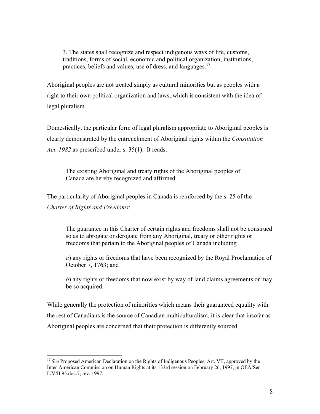3. The states shall recognize and respect indigenous ways of life, customs, traditions, forms of social, economic and political organization, institutions, practices, beliefs and values, use of dress, and languages.<sup>17</sup>

Aboriginal peoples are not treated simply as cultural minorities but as peoples with a right to their own political organization and laws, which is consistent with the idea of legal pluralism.

Domestically, the particular form of legal pluralism appropriate to Aboriginal peoples is clearly demonstrated by the entrenchment of Aboriginal rights within the *Constitution Act, 1982* as prescribed under s. 35(1). It reads:

The existing Aboriginal and treaty rights of the Aboriginal peoples of Canada are hereby recognized and affirmed.

The particularity of Aboriginal peoples in Canada is reinforced by the s. 25 of the *Charter of Rights and Freedoms*:

The guarantee in this Charter of certain rights and freedoms shall not be construed so as to abrogate or derogate from any Aboriginal, treaty or other rights or freedoms that pertain to the Aboriginal peoples of Canada including

*a*) any rights or freedoms that have been recognized by the Royal Proclamation of October 7, 1763; and

*b*) any rights or freedoms that now exist by way of land claims agreements or may be so acquired.

While generally the protection of minorities which means their guaranteed equality with the rest of Canadians is the source of Canadian multiculturalism, it is clear that insofar as Aboriginal peoples are concerned that their protection is differently sourced.

<sup>&</sup>lt;sup>17</sup> *See* Proposed American Declaration on the Rights of Indigenous Peoples, Art. VII, approved by the Inter-American Commission on Human Rights at its 133rd session on February 26, 1997, in OEA/Ser L/V/II.95.doc.7, rev. 1997.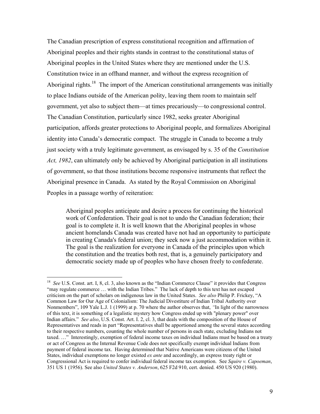The Canadian prescription of express constitutional recognition and affirmation of Aboriginal peoples and their rights stands in contrast to the constitutional status of Aboriginal peoples in the United States where they are mentioned under the U.S. Constitution twice in an offhand manner, and without the express recognition of Aboriginal rights.<sup>18</sup> The import of the American constitutional arrangements was initially to place Indians outside of the American polity, leaving them room to maintain self government, yet also to subject them—at times precariously—to congressional control. The Canadian Constitution, particularly since 1982, seeks greater Aboriginal participation, affords greater protections to Aboriginal people, and formalizes Aboriginal identity into Canada's democratic compact. The struggle in Canada to become a truly just society with a truly legitimate government, as envisaged by s. 35 of the *Constitution Act, 1982*, can ultimately only be achieved by Aboriginal participation in all institutions of government, so that those institutions become responsive instruments that reflect the Aboriginal presence in Canada. As stated by the Royal Commission on Aboriginal Peoples in a passage worthy of reiteration:

Aboriginal peoples anticipate and desire a process for continuing the historical work of Confederation. Their goal is not to undo the Canadian federation; their goal is to complete it. It is well known that the Aboriginal peoples in whose ancient homelands Canada was created have not had an opportunity to participate in creating Canada's federal union; they seek now a just accommodation within it. The goal is the realization for everyone in Canada of the principles upon which the constitution and the treaties both rest, that is, a genuinely participatory and democratic society made up of peoples who have chosen freely to confederate.

<sup>&</sup>lt;sup>18</sup> *See* U.S. Const. art. I, 8, cl. 3, also known as the "Indian Commerce Clause" it provides that Congress "may regulate commerce ... with the Indian Tribes." The lack of depth to this text has not escaped criticism on the part of scholars on indigenous law in the United States. *See also* Philip P. Frickey, "A Common Law for Our Age of Colonialism: The Judicial Divestiture of Indian Tribal Authority over Nonmembers", 109 Yale L.J. 1 (1999) at p. 70 where the author observes that, *"*In light of the narrowness of this text, it is something of a legalistic mystery how Congress ended up with "plenary power" over Indian affairs." *See also*, U.S. Const. Art. I. 2, cl. 3, that deals with the composition of the House of Representatives and reads in part "Representatives shall be apportioned among the several states according to their respective numbers, counting the whole number of persons in each state, excluding Indians not taxed. …" Interestingly, exemption of federal income taxes on individual Indians must be based on a treaty or act of Congress as the Internal Revenue Code does not specifically exempt individual Indians from payment of federal income tax. Having determined that Native Americans were citizens of the United States, individual exemptions no longer existed *ex ante* and accordingly, an express treaty right or Congressional Act is required to confer individual federal income tax exemption. See *Squire v. Capoeman*, 351 US 1 (1956). See also *United States v. Anderson*, 625 F2d 910, cert. denied. 450 US 920 (1980).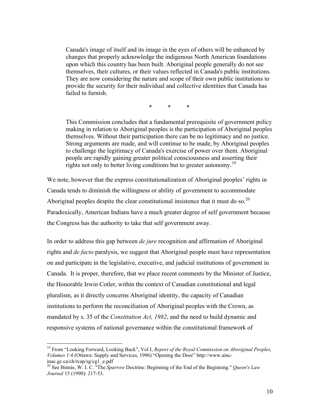Canada's image of itself and its image in the eyes of others will be enhanced by changes that properly acknowledge the indigenous North American foundations upon which this country has been built. Aboriginal people generally do not see themselves, their cultures, or their values reflected in Canada's public institutions. They are now considering the nature and scope of their own public institutions to provide the security for their individual and collective identities that Canada has failed to furnish.

\* \* \*

This Commission concludes that a fundamental prerequisite of government policy making in relation to Aboriginal peoples is the participation of Aboriginal peoples themselves. Without their participation there can be no legitimacy and no justice. Strong arguments are made, and will continue to be made, by Aboriginal peoples to challenge the legitimacy of Canada's exercise of power over them. Aboriginal people are rapidly gaining greater political consciousness and asserting their rights not only to better living conditions but to greater autonomy.<sup>19</sup>

We note, however that the express constitutionalization of Aboriginal peoples' rights in Canada tends to diminish the willingness or ability of government to accommodate Aboriginal peoples despite the clear constitutional insistence that it must do so.<sup>20</sup> Paradoxically, American Indians have a much greater degree of self government because the Congress has the authority to take that self government away.

In order to address this gap between *de jure* recognition and affirmation of Aboriginal rights and *de facto* paralysis, we suggest that Aboriginal people must have representation on and participate in the legislative, executive, and judicial institutions of government in Canada. It is proper, therefore, that we place recent comments by the Minister of Justice, the Honorable Irwin Cotler, within the context of Canadian constitutional and legal pluralism, as it directly concerns Aboriginal identity, the capacity of Canadian institutions to perform the reconciliation of Aboriginal peoples with the Crown, as mandated by s. 35 of the *Constitution Act, 1982*, and the need to build dynamic and responsive systems of national governance within the constitutional framework of

<sup>19</sup> From "Looking Forward, Looking Back", Vol I, *Report of the Royal Commission on Aboriginal Peoples, Volumes 1-6* (Ottawa: Supply and Services, 1996) "Opening the Door" http://www.aincinac.gc.ca/ch/rcap/sg/cg1\_e.pdf

<sup>20</sup> See Binnie, W. I. C. "The *Sparrow* Doctrine: Beginning of the End of the Beginning." *Queen's Law Journal* 15 (1990): 217-53.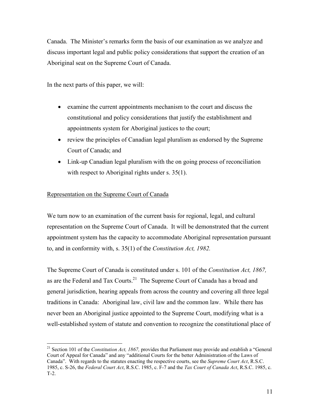Canada. The Minister's remarks form the basis of our examination as we analyze and discuss important legal and public policy considerations that support the creation of an Aboriginal seat on the Supreme Court of Canada.

In the next parts of this paper, we will:

- examine the current appointments mechanism to the court and discuss the constitutional and policy considerations that justify the establishment and appointments system for Aboriginal justices to the court;
- review the principles of Canadian legal pluralism as endorsed by the Supreme Court of Canada; and
- Link-up Canadian legal pluralism with the on going process of reconciliation with respect to Aboriginal rights under s. 35(1).

# Representation on the Supreme Court of Canada

 $\overline{a}$ 

We turn now to an examination of the current basis for regional, legal, and cultural representation on the Supreme Court of Canada. It will be demonstrated that the current appointment system has the capacity to accommodate Aboriginal representation pursuant to, and in conformity with, s. 35(1) of the *Constitution Act, 1982.*

The Supreme Court of Canada is constituted under s. 101 of the *Constitution Act, 1867,*  as are the Federal and Tax Courts.<sup>21</sup> The Supreme Court of Canada has a broad and general jurisdiction, hearing appeals from across the country and covering all three legal traditions in Canada: Aboriginal law, civil law and the common law. While there has never been an Aboriginal justice appointed to the Supreme Court, modifying what is a well-established system of statute and convention to recognize the constitutional place of

<sup>21</sup> Section 101 of the *Constitution Act, 1867,* provides that Parliament may provide and establish a "General Court of Appeal for Canada" and any "additional Courts for the better Administration of the Laws of Canada". With regards to the statutes enacting the respective courts, see the *Supreme Court Act*, R.S.C. 1985, c. S-26, the *Federal Court Act*, R.S.C. 1985, c. F-7 and the *Tax Court of Canada Act*, R.S.C. 1985, c. T-2.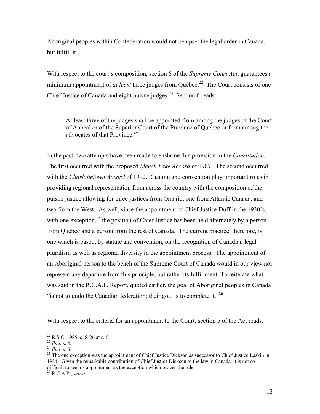Aboriginal peoples within Confederation would not be upset the legal order in Canada, but fulfill it.

With respect to the court's composition, section 6 of the *Supreme Court Act*, guarantees a minimum appointment of *at least* three judges from Québec.<sup>22</sup> The Court consists of one Chief Justice of Canada and eight puisne judges.<sup>23</sup> Section 6 reads:

At least three of the judges shall be appointed from among the judges of the Court of Appeal or of the Superior Court of the Province of Québec or from among the advocates of that Province.24

In the past, two attempts have been made to enshrine this provision in the *Constitution.*  The first occurred with the proposed *Meech Lake Accord* of 1987. The second occurred with the *Charlottetown Accord* of 1992. Custom and convention play important roles in providing regional representation from across the country with the composition of the puisne justice allowing for three justices from Ontario, one from Atlantic Canada, and two from the West. As well, since the appointment of Chief Justice Duff in the 1930's, with one exception,  $2<sup>5</sup>$  the position of Chief Justice has been held alternately by a person from Québec and a person from the rest of Canada. The current practice, therefore, is one which is based, by statute and convention, on the recognition of Canadian legal pluralism as well as regional diversity in the appointment process. The appointment of an Aboriginal person to the bench of the Supreme Court of Canada would in our view not represent any departure from this principle, but rather its fulfillment. To reiterate what was said in the R.C.A.P. Report, quoted earlier, the goal of Aboriginal peoples in Canada "is not to undo the Canadian federation; their goal is to complete it."<sup>26</sup>

With respect to the criteria for an appointment to the Court, section 5 of the Act reads:

 $^{22}$  R.S.C. 1985, c. S-26 at s. 6.

<sup>&</sup>lt;sup>23</sup> *Ibid.* s. 4.<br><sup>24</sup> *Ibid.* s. 6.<br><sup>25</sup> The one exception was the appointment of Chief Justice Dickson as successor to Chief Justice Laskin in 1984. Given the remarkable contribution of Chief Justice Dickson to the law in Canada, it is not so difficult to see his appointment as the exception which proves the rule.

<sup>26</sup> R.C.A.P., *supra*.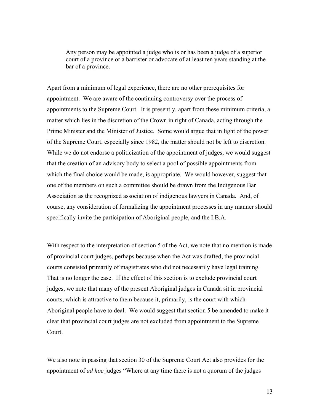Any person may be appointed a judge who is or has been a judge of a superior court of a province or a barrister or advocate of at least ten years standing at the bar of a province.

Apart from a minimum of legal experience, there are no other prerequisites for appointment. We are aware of the continuing controversy over the process of appointments to the Supreme Court. It is presently, apart from these minimum criteria, a matter which lies in the discretion of the Crown in right of Canada, acting through the Prime Minister and the Minister of Justice. Some would argue that in light of the power of the Supreme Court, especially since 1982, the matter should not be left to discretion. While we do not endorse a politicization of the appointment of judges, we would suggest that the creation of an advisory body to select a pool of possible appointments from which the final choice would be made, is appropriate. We would however, suggest that one of the members on such a committee should be drawn from the Indigenous Bar Association as the recognized association of indigenous lawyers in Canada. And, of course, any consideration of formalizing the appointment processes in any manner should specifically invite the participation of Aboriginal people, and the I.B.A.

With respect to the interpretation of section 5 of the Act, we note that no mention is made of provincial court judges, perhaps because when the Act was drafted, the provincial courts consisted primarily of magistrates who did not necessarily have legal training. That is no longer the case. If the effect of this section is to exclude provincial court judges, we note that many of the present Aboriginal judges in Canada sit in provincial courts, which is attractive to them because it, primarily, is the court with which Aboriginal people have to deal. We would suggest that section 5 be amended to make it clear that provincial court judges are not excluded from appointment to the Supreme Court.

We also note in passing that section 30 of the Supreme Court Act also provides for the appointment of *ad hoc* judges "Where at any time there is not a quorum of the judges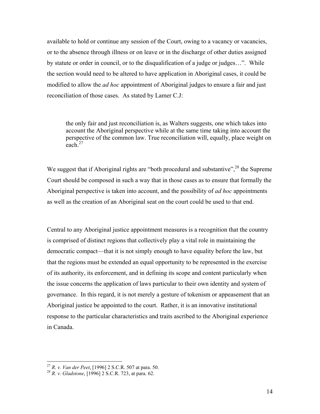available to hold or continue any session of the Court, owing to a vacancy or vacancies, or to the absence through illness or on leave or in the discharge of other duties assigned by statute or order in council, or to the disqualification of a judge or judges…". While the section would need to be altered to have application in Aboriginal cases, it could be modified to allow the *ad hoc* appointment of Aboriginal judges to ensure a fair and just reconciliation of those cases. As stated by Lamer C.J:

the only fair and just reconciliation is, as Walters suggests, one which takes into account the Aboriginal perspective while at the same time taking into account the perspective of the common law. True reconciliation will, equally, place weight on each  $^{27}$ 

We suggest that if Aboriginal rights are "both procedural and substantive",<sup>28</sup> the Supreme Court should be composed in such a way that in those cases as to ensure that formally the Aboriginal perspective is taken into account, and the possibility of *ad hoc* appointments as well as the creation of an Aboriginal seat on the court could be used to that end.

Central to any Aboriginal justice appointment measures is a recognition that the country is comprised of distinct regions that collectively play a vital role in maintaining the democratic compact—that it is not simply enough to have equality before the law, but that the regions must be extended an equal opportunity to be represented in the exercise of its authority, its enforcement, and in defining its scope and content particularly when the issue concerns the application of laws particular to their own identity and system of governance. In this regard, it is not merely a gesture of tokenism or appeasement that an Aboriginal justice be appointed to the court. Rather, it is an innovative institutional response to the particular characteristics and traits ascribed to the Aboriginal experience in Canada.

<sup>27</sup> *R. v. Van der Peet*, [1996] 2 S.C.R. 507 at para. 50. 28 *R. v. Gladstone*, [1996] 2 S.C.R. 723, at para. 62.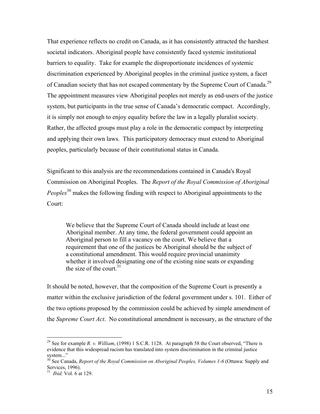That experience reflects no credit on Canada, as it has consistently attracted the harshest societal indicators. Aboriginal people have consistently faced systemic institutional barriers to equality. Take for example the disproportionate incidences of systemic discrimination experienced by Aboriginal peoples in the criminal justice system, a facet of Canadian society that has not escaped commentary by the Supreme Court of Canada.<sup>29</sup> The appointment measures view Aboriginal peoples not merely as end-users of the justice system, but participants in the true sense of Canada's democratic compact. Accordingly, it is simply not enough to enjoy equality before the law in a legally pluralist society. Rather, the affected groups must play a role in the democratic compact by interpreting and applying their own laws. This participatory democracy must extend to Aboriginal peoples, particularly because of their constitutional status in Canada.

Significant to this analysis are the recommendations contained in Canada's Royal Commission on Aboriginal Peoples. The *Report of the Royal Commission of Aboriginal Peoples*30 makes the following finding with respect to Aboriginal appointments to the Court:

We believe that the Supreme Court of Canada should include at least one Aboriginal member. At any time, the federal government could appoint an Aboriginal person to fill a vacancy on the court. We believe that a requirement that one of the justices be Aboriginal should be the subject of a constitutional amendment. This would require provincial unanimity whether it involved designating one of the existing nine seats or expanding the size of the court  $31$ 

It should be noted, however, that the composition of the Supreme Court is presently a matter within the exclusive jurisdiction of the federal government under s. 101. Either of the two options proposed by the commission could be achieved by simple amendment of the *Supreme Court Act*. No constitutional amendment is necessary, as the structure of the

<sup>29</sup> See for example *R. v. William*, (1998) 1 S.C.R. 1128. At paragraph 58 the Court observed, "There is evidence that this widespread racism has translated into system discrimination in the criminal justice system..."

<sup>&</sup>lt;sup>30</sup> See Canada, *Report of the Royal Commission on Aboriginal Peoples, Volumes 1-6* (Ottawa: Supply and Services, 1996).

<sup>31</sup> *Ibid.* Vol. 6 at 129.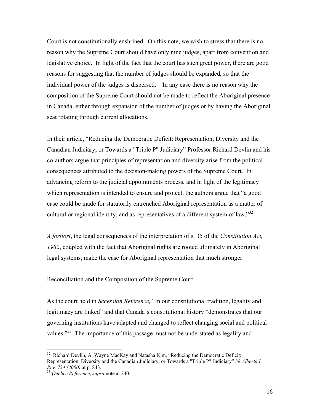Court is not constitutionally enshrined. On this note, we wish to stress that there is no reason why the Supreme Court should have only nine judges, apart from convention and legislative choice. In light of the fact that the court has such great power, there are good reasons for suggesting that the number of judges should be expanded, so that the individual power of the judges is dispersed. In any case there is no reason why the composition of the Supreme Court should not be made to reflect the Aboriginal presence in Canada, either through expansion of the number of judges or by having the Aboriginal seat rotating through current allocations.

In their article, "Reducing the Democratic Deficit: Representation, Diversity and the Canadian Judiciary, or Towards a "Triple P" Judiciary" Professor Richard Devlin and his co-authors argue that principles of representation and diversity arise from the political consequences attributed to the decision-making powers of the Supreme Court. In advancing reform to the judicial appointments process, and in light of the legitimacy which representation is intended to ensure and protect, the authors argue that "a good case could be made for statutorily entrenched Aboriginal representation as a matter of cultural or regional identity, and as representatives of a different system of law."<sup>32</sup>

*A fortiori*, the legal consequences of the interpretation of s. 35 of the *Constitution Act, 1982*, coupled with the fact that Aboriginal rights are rooted ultimately in Aboriginal legal systems, make the case for Aboriginal representation that much stronger.

## Reconciliation and the Composition of the Supreme Court

As the court held in *Secession Reference,* "In our constitutional tradition, legality and legitimacy are linked" and that Canada's constitutional history "demonstrates that our governing institutions have adapted and changed to reflect changing social and political values."<sup>33</sup> The importance of this passage must not be understated as legality and

<u>.</u>

<sup>&</sup>lt;sup>32</sup> Richard Devlin, A. Wayne MacKay and Natasha Kim, "Reducing the Democratic Deficit: Representation, Diversity and the Canadian Judiciary, or Towards a "Triple P" Judiciary" *38 Alberta L. Rev. 734 (2000)* at p. 843. 33 *Québec Reference*, *supra* note at 240.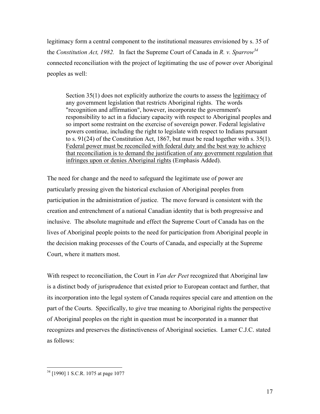legitimacy form a central component to the institutional measures envisioned by s. 35 of the *Constitution Act, 1982.* In fact the Supreme Court of Canada in *R. v. Sparrow34* connected reconciliation with the project of legitimating the use of power over Aboriginal peoples as well:

Section 35(1) does not explicitly authorize the courts to assess the legitimacy of any government legislation that restricts Aboriginal rights. The words "recognition and affirmation", however, incorporate the government's responsibility to act in a fiduciary capacity with respect to Aboriginal peoples and so import some restraint on the exercise of sovereign power. Federal legislative powers continue, including the right to legislate with respect to Indians pursuant to s. 91(24) of the Constitution Act, 1867, but must be read together with s. 35(1). Federal power must be reconciled with federal duty and the best way to achieve that reconciliation is to demand the justification of any government regulation that infringes upon or denies Aboriginal rights (Emphasis Added).

The need for change and the need to safeguard the legitimate use of power are particularly pressing given the historical exclusion of Aboriginal peoples from participation in the administration of justice. The move forward is consistent with the creation and entrenchment of a national Canadian identity that is both progressive and inclusive. The absolute magnitude and effect the Supreme Court of Canada has on the lives of Aboriginal people points to the need for participation from Aboriginal people in the decision making processes of the Courts of Canada, and especially at the Supreme Court, where it matters most.

With respect to reconciliation, the Court in *Van der Peet* recognized that Aboriginal law is a distinct body of jurisprudence that existed prior to European contact and further, that its incorporation into the legal system of Canada requires special care and attention on the part of the Courts. Specifically, to give true meaning to Aboriginal rights the perspective of Aboriginal peoples on the right in question must be incorporated in a manner that recognizes and preserves the distinctiveness of Aboriginal societies. Lamer C.J.C. stated as follows:

<sup>&</sup>lt;sup>34</sup> [1990] 1 S.C.R. 1075 at page 1077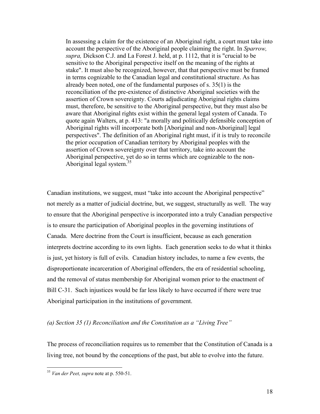In assessing a claim for the existence of an Aboriginal right, a court must take into account the perspective of the Aboriginal people claiming the right. In *Sparrow, supra,* Dickson C.J. and La Forest J. held, at p. 1112, that it is "crucial to be sensitive to the Aboriginal perspective itself on the meaning of the rights at stake". It must also be recognized, however, that that perspective must be framed in terms cognizable to the Canadian legal and constitutional structure. As has already been noted, one of the fundamental purposes of s. 35(1) is the reconciliation of the pre-existence of distinctive Aboriginal societies with the assertion of Crown sovereignty. Courts adjudicating Aboriginal rights claims must, therefore, be sensitive to the Aboriginal perspective, but they must also be aware that Aboriginal rights exist within the general legal system of Canada. To quote again Walters, at p. 413: "a morally and politically defensible conception of Aboriginal rights will incorporate both [Aboriginal and non-Aboriginal] legal perspectives". The definition of an Aboriginal right must, if it is truly to reconcile the prior occupation of Canadian territory by Aboriginal peoples with the assertion of Crown sovereignty over that territory, take into account the Aboriginal perspective, yet do so in terms which are cognizable to the non-Aboriginal legal system.<sup>35</sup>

Canadian institutions, we suggest, must "take into account the Aboriginal perspective" not merely as a matter of judicial doctrine, but, we suggest, structurally as well. The way to ensure that the Aboriginal perspective is incorporated into a truly Canadian perspective is to ensure the participation of Aboriginal peoples in the governing institutions of Canada. Mere doctrine from the Court is insufficient, because as each generation interprets doctrine according to its own lights. Each generation seeks to do what it thinks is just, yet history is full of evils. Canadian history includes, to name a few events, the disproportionate incarceration of Aboriginal offenders, the era of residential schooling, and the removal of status membership for Aboriginal women prior to the enactment of Bill C-31. Such injustices would be far less likely to have occurred if there were true Aboriginal participation in the institutions of government.

## *(a) Section 35 (1) Reconciliation and the Constitution as a "Living Tree"*

The process of reconciliation requires us to remember that the Constitution of Canada is a living tree, not bound by the conceptions of the past, but able to evolve into the future.

<u>.</u>

<sup>35</sup> *Van der Peet, supra* note at p. 550-51.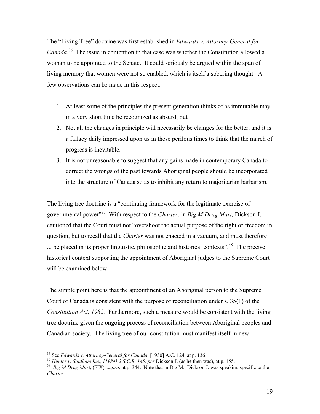The "Living Tree" doctrine was first established in *Edwards v. Attorney-General for Canada*. 36 The issue in contention in that case was whether the Constitution allowed a woman to be appointed to the Senate. It could seriously be argued within the span of living memory that women were not so enabled, which is itself a sobering thought. A few observations can be made in this respect:

- 1. At least some of the principles the present generation thinks of as immutable may in a very short time be recognized as absurd; but
- 2. Not all the changes in principle will necessarily be changes for the better, and it is a fallacy daily impressed upon us in these perilous times to think that the march of progress is inevitable.
- 3. It is not unreasonable to suggest that any gains made in contemporary Canada to correct the wrongs of the past towards Aboriginal people should be incorporated into the structure of Canada so as to inhibit any return to majoritarian barbarism.

The living tree doctrine is a "continuing framework for the legitimate exercise of governmental power"37 With respect to the *Charter*, in *Big M Drug Mart,* Dickson J. cautioned that the Court must not "overshoot the actual purpose of the right or freedom in question, but to recall that the *Charter* was not enacted in a vacuum, and must therefore  $\ldots$  be placed in its proper linguistic, philosophic and historical contexts".<sup>38</sup> The precise historical context supporting the appointment of Aboriginal judges to the Supreme Court will be examined below.

The simple point here is that the appointment of an Aboriginal person to the Supreme Court of Canada is consistent with the purpose of reconciliation under s. 35(1) of the *Constitution Act, 1982.* Furthermore, such a measure would be consistent with the living tree doctrine given the ongoing process of reconciliation between Aboriginal peoples and Canadian society. The living tree of our constitution must manifest itself in new

<sup>&</sup>lt;sup>36</sup> See Edwards v. Attorney-General for Canada, [1930] A.C. 124, at p. 136.

<sup>&</sup>lt;sup>37</sup> Hunter v. Southam Inc., [1984] 2 S.C.R. 145, per Dickson J. (as he then was), at p. 155.<br><sup>38</sup> Big M Drug Mart, (FIX) supra, at p. 344. Note that in Big M., Dickson J. was speaking specific to the *Charter*.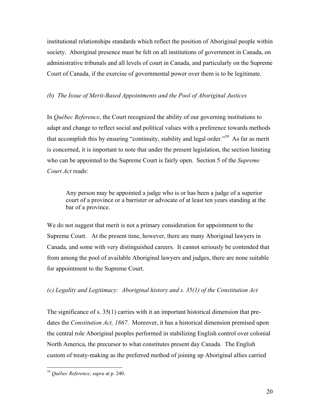institutional relationships standards which reflect the position of Aboriginal people within society. Aboriginal presence must be felt on all institutions of government in Canada, on administrative tribunals and all levels of court in Canada, and particularly on the Supreme Court of Canada, if the exercise of governmental power over them is to be legitimate.

## *(b) The Issue of Merit-Based Appointments and the Pool of Aboriginal Justices*

In *Québec Reference*, the Court recognized the ability of our governing institutions to adapt and change to reflect social and political values with a preference towards methods that accomplish this by ensuring "continuity, stability and legal order."<sup>39</sup> As far as merit is concerned, it is important to note that under the present legislation, the section limiting who can be appointed to the Supreme Court is fairly open. Section 5 of the *Supreme Court Act* reads:

Any person may be appointed a judge who is or has been a judge of a superior court of a province or a barrister or advocate of at least ten years standing at the bar of a province.

We do not suggest that merit is not a primary consideration for appointment to the Supreme Court. At the present time, however, there are many Aboriginal lawyers in Canada, and some with very distinguished careers. It cannot seriously be contended that from among the pool of available Aboriginal lawyers and judges, there are none suitable for appointment to the Supreme Court.

# *(c) Legality and Legitimacy: Aboriginal history and s. 35(1) of the Constitution Act*

The significance of s. 35(1) carries with it an important historical dimension that predates the *Constitution Act, 1867*. Moreover, it has a historical dimension premised upon the central role Aboriginal peoples performed in stabilizing English control over colonial North America, the precursor to what constitutes present day Canada. The English custom of treaty-making as the preferred method of joining up Aboriginal allies carried

<sup>39</sup> *Québec Reference, supra* at p. 240.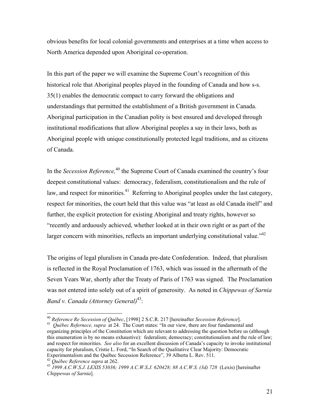obvious benefits for local colonial governments and enterprises at a time when access to North America depended upon Aboriginal co-operation.

In this part of the paper we will examine the Supreme Court's recognition of this historical role that Aboriginal peoples played in the founding of Canada and how s-s. 35(1) enables the democratic compact to carry forward the obligations and understandings that permitted the establishment of a British government in Canada. Aboriginal participation in the Canadian polity is best ensured and developed through institutional modifications that allow Aboriginal peoples a say in their laws, both as Aboriginal people with unique constitutionally protected legal traditions, and as citizens of Canada.

In the *Secession Reference*,<sup>40</sup> the Supreme Court of Canada examined the country's four deepest constitutional values: democracy, federalism, constitutionalism and the rule of law, and respect for minorities.<sup>41</sup> Referring to Aboriginal peoples under the last category, respect for minorities, the court held that this value was "at least as old Canada itself" and further, the explicit protection for existing Aboriginal and treaty rights, however so "recently and arduously achieved, whether looked at in their own right or as part of the larger concern with minorities, reflects an important underlying constitutional value."<sup>42</sup>

The origins of legal pluralism in Canada pre-date Confederation. Indeed, that pluralism is reflected in the Royal Proclamation of 1763, which was issued in the aftermath of the Seven Years War, shortly after the Treaty of Paris of 1763 was signed. The Proclamation was not entered into solely out of a spirit of generosity. As noted in *Chippewas of Sarnia Band v. Canada (Attorney General)*43:

1

<sup>40</sup> *Reference Re Secession of Québec*, [1998] 2 S.C.R. 217 [hereinafter *Secession Reference*]. 41 *Québec Refernece, supra* at 24. The Court states: "In our view, there are four fundamental and

organizing principles of the Constitution which are relevant to addressing the question before us (although this enumeration is by no means exhaustive): federalism; democracy; constitutionalism and the rule of law; and respect for minorities. *See also* for an excellent discussion of Canada's capacity to invoke institutional capacity for pluralism, Cristie L. Ford, "In Search of the Qualitative Clear Majority: Democratic

<sup>&</sup>lt;sup>42</sup> Québec Reference supra at 262.<br><sup>43</sup> 1999 A.C.W.S.J. LEXIS 53036; 1999 A.C.W.S.J. 620428; 88 A.C.W.S. (3d) 728 (Lexis) [hereinafter *Chippewas of Sarnia*].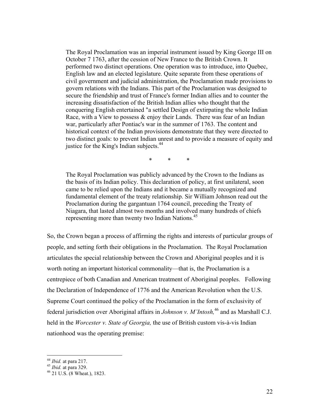The Royal Proclamation was an imperial instrument issued by King George III on October 7 1763, after the cession of New France to the British Crown. It performed two distinct operations. One operation was to introduce, into Quebec, English law and an elected legislature. Quite separate from these operations of civil government and judicial administration, the Proclamation made provisions to govern relations with the Indians. This part of the Proclamation was designed to secure the friendship and trust of France's former Indian allies and to counter the increasing dissatisfaction of the British Indian allies who thought that the conquering English entertained "a settled Design of extirpating the whole Indian Race, with a View to possess  $\&$  enjoy their Lands. There was fear of an Indian war, particularly after Pontiac's war in the summer of 1763. The content and historical context of the Indian provisions demonstrate that they were directed to two distinct goals: to prevent Indian unrest and to provide a measure of equity and justice for the King's Indian subjects. $44$ 

\* \* \*

The Royal Proclamation was publicly advanced by the Crown to the Indians as the basis of its Indian policy. This declaration of policy, at first unilateral, soon came to be relied upon the Indians and it became a mutually recognized and fundamental element of the treaty relationship. Sir William Johnson read out the Proclamation during the gargantuan 1764 council, preceding the Treaty of Niagara, that lasted almost two months and involved many hundreds of chiefs representing more than twenty two Indian Nations.<sup>45</sup>

So, the Crown began a process of affirming the rights and interests of particular groups of people, and setting forth their obligations in the Proclamation. The Royal Proclamation articulates the special relationship between the Crown and Aboriginal peoples and it is worth noting an important historical commonality—that is, the Proclamation is a centrepiece of both Canadian and American treatment of Aboriginal peoples. Following the Declaration of Independence of 1776 and the American Revolution when the U.S. Supreme Court continued the policy of the Proclamation in the form of exclusivity of federal jurisdiction over Aboriginal affairs in *Johnson v. M'Intosh,*46 and as Marshall C.J. held in the *Worcester v. State of Georgia,* the use of British custom vis-à-vis Indian nationhood was the operating premise:

 $44$  *Ibid.* at para 217.

<sup>44</sup> *Ibid.* at para 217. 45 *Ibid.* at para 329. 46 21 U.S. (8 Wheat.), 1823.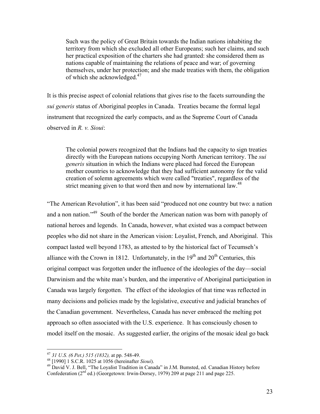Such was the policy of Great Britain towards the Indian nations inhabiting the territory from which she excluded all other Europeans; such her claims, and such her practical exposition of the charters she had granted: she considered them as nations capable of maintaining the relations of peace and war; of governing themselves, under her protection; and she made treaties with them, the obligation of which she acknowledged.<sup>47</sup>

It is this precise aspect of colonial relations that gives rise to the facets surrounding the *sui generis* status of Aboriginal peoples in Canada. Treaties became the formal legal instrument that recognized the early compacts, and as the Supreme Court of Canada observed in *R. v. Sioui*:

The colonial powers recognized that the Indians had the capacity to sign treaties directly with the European nations occupying North American territory. The *sui generis* situation in which the Indians were placed had forced the European mother countries to acknowledge that they had sufficient autonomy for the valid creation of solemn agreements which were called "treaties", regardless of the strict meaning given to that word then and now by international law.<sup>48</sup>

"The American Revolution", it has been said "produced not one country but two: a nation and a non nation."49 South of the border the American nation was born with panoply of national heroes and legends. In Canada, however, what existed was a compact between peoples who did not share in the American vision: Loyalist, French, and Aboriginal. This compact lasted well beyond 1783, as attested to by the historical fact of Tecumseh's alliance with the Crown in 1812. Unfortunately, in the  $19<sup>th</sup>$  and  $20<sup>th</sup>$  Centuries, this original compact was forgotten under the influence of the ideologies of the day—social Darwinism and the white man's burden, and the imperative of Aboriginal participation in Canada was largely forgotten. The effect of the ideologies of that time was reflected in many decisions and policies made by the legislative, executive and judicial branches of the Canadian government. Nevertheless, Canada has never embraced the melting pot approach so often associated with the U.S. experience. It has consciously chosen to model itself on the mosaic. As suggested earlier, the origins of the mosaic ideal go back

<sup>&</sup>lt;sup>47</sup> 31 U.S. (6 Pet.) 515 (1832), at pp. 548-49.

<sup>&</sup>lt;sup>48</sup> [1990] 1 S.C.R. 1025 at 1056 (hereinafter *Sioui*). <sup>49</sup> David V. J. Bell, "The Loyalist Tradition in Canada" in J.M. Bumsted, ed. Canadian History before Confederation  $(2<sup>nd</sup>$  ed.) (Georgetown: Irwin-Dorsey, 1979) 209 at page 211 and page 225.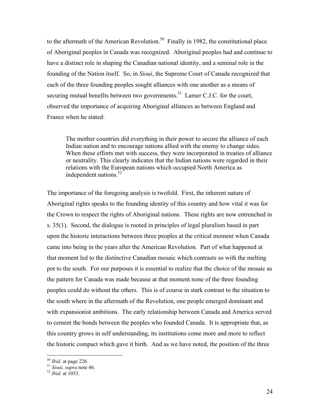to the aftermath of the American Revolution.<sup>50</sup> Finally in 1982, the constitutional place of Aboriginal peoples in Canada was recognized. Aboriginal peoples had and continue to have a distinct role in shaping the Canadian national identity, and a seminal role in the founding of the Nation itself. So, in *Sioui*, the Supreme Court of Canada recognized that each of the three founding peoples sought alliances with one another as a means of securing mutual benefits between two governments.<sup>51</sup> Lamer C.J.C. for the court, observed the importance of acquiring Aboriginal alliances as between England and France when he stated:

The mother countries did everything in their power to secure the alliance of each Indian nation and to encourage nations allied with the enemy to change sides. When these efforts met with success, they were incorporated in treaties of alliance or neutrality. This clearly indicates that the Indian nations were regarded in their relations with the European nations which occupied North America as independent nations. $52$ 

The importance of the foregoing analysis is twofold. First, the inherent nature of Aboriginal rights speaks to the founding identity of this country and how vital it was for the Crown to respect the rights of Aboriginal nations. These rights are now entrenched in s. 35(1). Second, the dialogue is rooted in principles of legal pluralism based in part upon the historic interactions between three peoples at the critical moment when Canada came into being in the years after the American Revolution. Part of what happened at that moment led to the distinctive Canadian mosaic which contrasts so with the melting pot to the south. For our purposes it is essential to realize that the choice of the mosaic as the pattern for Canada was made because at that moment none of the three founding peoples could do without the others. This is of course in stark contrast to the situation to the south where in the aftermath of the Revolution, one people emerged dominant and with expansionist ambitions. The early relationship between Canada and America served to cement the bonds between the peoples who founded Canada. It is appropriate that, as this country grows in self understanding, its institutions come more and more to reflect the historic compact which gave it birth. And as we have noted, the position of the three

<sup>50</sup> *Ibid*. at page 226. 51 *Sioui, supra* note 46. 52 *Ibid.* at 1053.